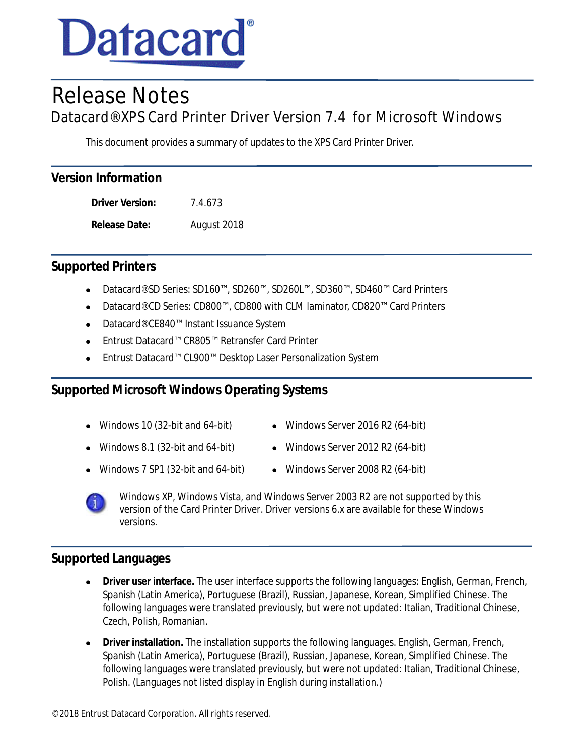

# Release Notes

Datacard® XPS Card Printer Driver Version 7.4 for Microsoft Windows

This document provides a summary of updates to the XPS Card Printer Driver.

**Driver Version:** 7.4.673 **Release Date:** August 2018

# **Supported Printers**

- Datacard® SD Series: SD160™, SD260™, SD260L™, SD360™, SD460™ Card Printers
- Datacard® CD Series: CD800™, CD800 with CLM laminator, CD820™ Card Printers
- Datacard® CE840™ Instant Issuance System
- Entrust Datacard™ CR805™ Retransfer Card Printer
- Entrust Datacard™ CL900™ Desktop Laser Personalization System

# **Supported Microsoft Windows Operating Systems**

- 
- Windows 10 (32-bit and 64-bit) Windows Server 2016 R2 (64-bit)
- Windows 8.1 (32-bit and 64-bit)  $\bullet$  Windows Server 2012 R2 (64-bit)
- Windows 7 SP1 (32-bit and 64-bit)  $\bullet$  Windows Server 2008 R2 (64-bit)

Windows XP, Windows Vista, and Windows Server 2003 R2 are not supported by this version of the Card Printer Driver. Driver versions 6.x are available for these Windows versions.

## **Supported Languages**

- **Driver user interface.** The user interface supports the following languages: English, German, French, Spanish (Latin America), Portuguese (Brazil), Russian, Japanese, Korean, Simplified Chinese. The following languages were translated previously, but were not updated: Italian, Traditional Chinese, Czech, Polish, Romanian.
- **Driver installation.** The installation supports the following languages. English, German, French, Spanish (Latin America), Portuguese (Brazil), Russian, Japanese, Korean, Simplified Chinese. The following languages were translated previously, but were not updated: Italian, Traditional Chinese, Polish. (Languages not listed display in English during installation.)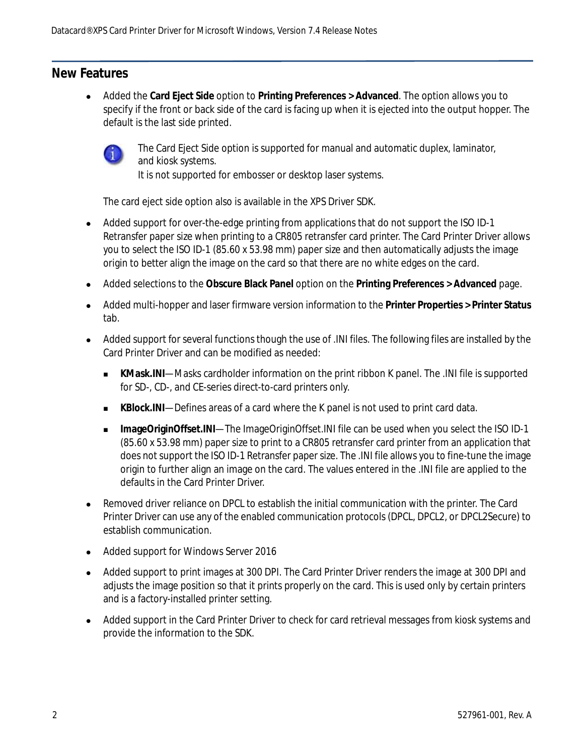## **New Features**

 Added the **Card Eject Side** option to **Printing Preferences > Advanced**. The option allows you to specify if the front or back side of the card is facing up when it is ejected into the output hopper. The default is the last side printed.



The Card Eject Side option is supported for manual and automatic duplex, laminator, and kiosk systems.

It is not supported for embosser or desktop laser systems.

The card eject side option also is available in the XPS Driver SDK.

- Added support for over-the-edge printing from applications that do not support the ISO ID-1 Retransfer paper size when printing to a CR805 retransfer card printer. The Card Printer Driver allows you to select the ISO ID-1 (85.60 x 53.98 mm) paper size and then automatically adjusts the image origin to better align the image on the card so that there are no white edges on the card.
- Added selections to the **Obscure Black Panel** option on the **Printing Preferences > Advanced** page.
- Added multi-hopper and laser firmware version information to the **Printer Properties > Printer Status** tab.
- Added support for several functions though the use of .INI files. The following files are installed by the Card Printer Driver and can be modified as needed:
	- **KMask.INI—Masks cardholder information on the print ribbon K panel. The .INI file is supported** for SD-, CD-, and CE-series direct-to-card printers only.
	- **KBlock.INI**—Defines areas of a card where the K panel is not used to print card data.
	- **ImageOriginOffset.INI—The ImageOriginOffset.INI file can be used when you select the ISO ID-1** (85.60 x 53.98 mm) paper size to print to a CR805 retransfer card printer from an application that does not support the ISO ID-1 Retransfer paper size. The .INI file allows you to fine-tune the image origin to further align an image on the card. The values entered in the .INI file are applied to the defaults in the Card Printer Driver.
- Removed driver reliance on DPCL to establish the initial communication with the printer. The Card Printer Driver can use any of the enabled communication protocols (DPCL, DPCL2, or DPCL2Secure) to establish communication.
- Added support for Windows Server 2016
- Added support to print images at 300 DPI. The Card Printer Driver renders the image at 300 DPI and adjusts the image position so that it prints properly on the card. This is used only by certain printers and is a factory-installed printer setting.
- Added support in the Card Printer Driver to check for card retrieval messages from kiosk systems and provide the information to the SDK.